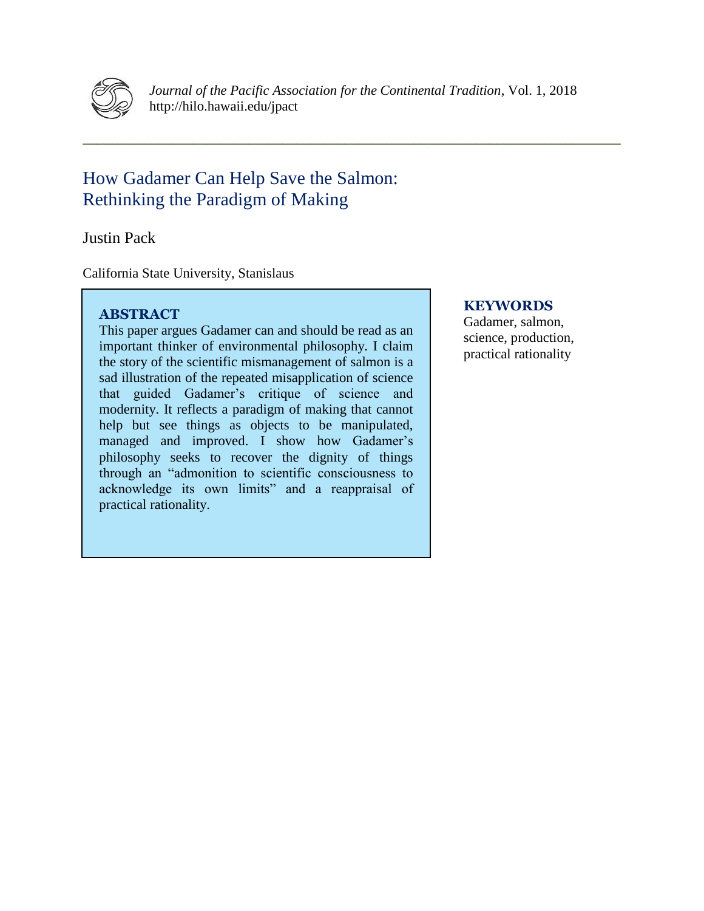

*Journal of the Pacific Association for the Continental Tradition*, Vol. 1, 2018 http://hilo.hawaii.edu/jpact

**\_\_\_\_\_\_\_\_\_\_\_\_\_\_\_\_\_\_\_\_\_\_\_\_\_\_\_\_\_\_\_\_\_\_\_\_\_\_\_\_\_\_\_\_\_\_\_\_\_\_\_\_\_\_\_\_\_\_\_\_\_\_\_\_\_\_\_\_\_\_\_\_\_\_\_\_\_\_**

# How Gadamer Can Help Save the Salmon: Rethinking the Paradigm of Making

Justin Pack

California State University, Stanislaus

# **ABSTRACT**

This paper argues Gadamer can and should be read as an important thinker of environmental philosophy. I claim the story of the scientific mismanagement of salmon is a sad illustration of the repeated misapplication of science that guided Gadamer's critique of science and modernity. It reflects a paradigm of making that cannot help but see things as objects to be manipulated, managed and improved. I show how Gadamer's philosophy seeks to recover the dignity of things through an "admonition to scientific consciousness to acknowledge its own limits" and a reappraisal of practical rationality.

# **KEYWORDS**

Gadamer, salmon, science, production, practical rationality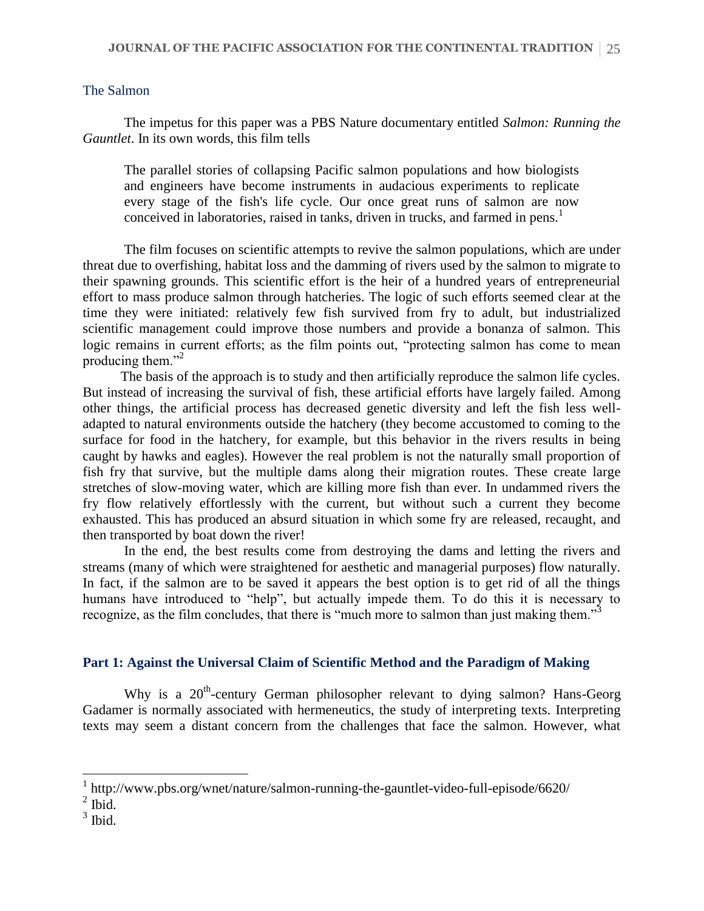# The Salmon

The impetus for this paper was a PBS Nature documentary entitled *Salmon: Running the Gauntlet*. In its own words, this film tells

The parallel stories of collapsing Pacific salmon populations and how biologists and engineers have become instruments in audacious experiments to replicate every stage of the fish's life cycle. Our once great runs of salmon are now conceived in laboratories, raised in tanks, driven in trucks, and farmed in pens.<sup>1</sup>

The film focuses on scientific attempts to revive the salmon populations, which are under threat due to overfishing, habitat loss and the damming of rivers used by the salmon to migrate to their spawning grounds. This scientific effort is the heir of a hundred years of entrepreneurial effort to mass produce salmon through hatcheries. The logic of such efforts seemed clear at the time they were initiated: relatively few fish survived from fry to adult, but industrialized scientific management could improve those numbers and provide a bonanza of salmon. This logic remains in current efforts; as the film points out, "protecting salmon has come to mean producing them."<sup>2</sup>

The basis of the approach is to study and then artificially reproduce the salmon life cycles. But instead of increasing the survival of fish, these artificial efforts have largely failed. Among other things, the artificial process has decreased genetic diversity and left the fish less welladapted to natural environments outside the hatchery (they become accustomed to coming to the surface for food in the hatchery, for example, but this behavior in the rivers results in being caught by hawks and eagles). However the real problem is not the naturally small proportion of fish fry that survive, but the multiple dams along their migration routes. These create large stretches of slow-moving water, which are killing more fish than ever. In undammed rivers the fry flow relatively effortlessly with the current, but without such a current they become exhausted. This has produced an absurd situation in which some fry are released, recaught, and then transported by boat down the river!

In the end, the best results come from destroying the dams and letting the rivers and streams (many of which were straightened for aesthetic and managerial purposes) flow naturally. In fact, if the salmon are to be saved it appears the best option is to get rid of all the things humans have introduced to "help", but actually impede them. To do this it is necessary to recognize, as the film concludes, that there is "much more to salmon than just making them."<sup>3</sup>

### **Part 1: Against the Universal Claim of Scientific Method and the Paradigm of Making**

Why is a 20<sup>th</sup>-century German philosopher relevant to dying salmon? Hans-Georg Gadamer is normally associated with hermeneutics, the study of interpreting texts. Interpreting texts may seem a distant concern from the challenges that face the salmon. However, what

<sup>&</sup>lt;sup>1</sup> http://www.pbs.org/wnet/nature/salmon-running-the-gauntlet-video-full-episode/6620/

 $<sup>2</sup>$  Ibid.</sup>

 $3$  Ibid.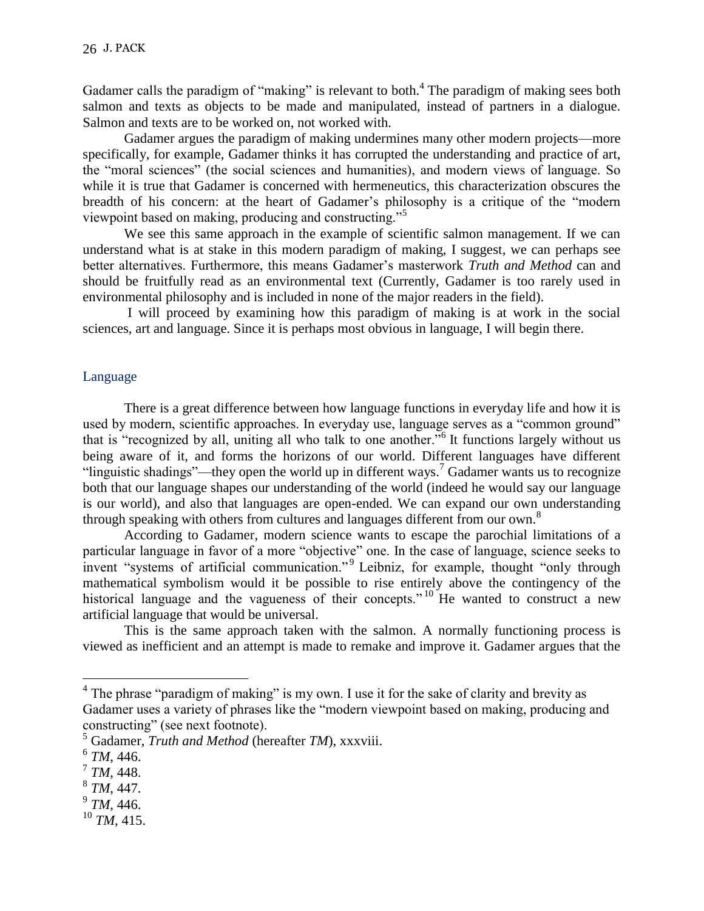Gadamer calls the paradigm of "making" is relevant to both.<sup>4</sup> The paradigm of making sees both salmon and texts as objects to be made and manipulated, instead of partners in a dialogue. Salmon and texts are to be worked on, not worked with.

Gadamer argues the paradigm of making undermines many other modern projects—more specifically, for example, Gadamer thinks it has corrupted the understanding and practice of art, the "moral sciences" (the social sciences and humanities), and modern views of language. So while it is true that Gadamer is concerned with hermeneutics, this characterization obscures the breadth of his concern: at the heart of Gadamer's philosophy is a critique of the "modern viewpoint based on making, producing and constructing."<sup>5</sup>

We see this same approach in the example of scientific salmon management. If we can understand what is at stake in this modern paradigm of making, I suggest, we can perhaps see better alternatives. Furthermore, this means Gadamer's masterwork *Truth and Method* can and should be fruitfully read as an environmental text (Currently, Gadamer is too rarely used in environmental philosophy and is included in none of the major readers in the field).

I will proceed by examining how this paradigm of making is at work in the social sciences, art and language. Since it is perhaps most obvious in language, I will begin there.

### Language

There is a great difference between how language functions in everyday life and how it is used by modern, scientific approaches. In everyday use, language serves as a "common ground" that is "recognized by all, uniting all who talk to one another."<sup>6</sup> It functions largely without us being aware of it, and forms the horizons of our world. Different languages have different "linguistic shadings"—they open the world up in different ways.<sup>7</sup> Gadamer wants us to recognize both that our language shapes our understanding of the world (indeed he would say our language is our world), and also that languages are open-ended. We can expand our own understanding through speaking with others from cultures and languages different from our own.<sup>8</sup>

According to Gadamer, modern science wants to escape the parochial limitations of a particular language in favor of a more "objective" one. In the case of language, science seeks to invent "systems of artificial communication."<sup>9</sup> Leibniz, for example, thought "only through mathematical symbolism would it be possible to rise entirely above the contingency of the historical language and the vagueness of their concepts."<sup>10</sup> He wanted to construct a new artificial language that would be universal.

This is the same approach taken with the salmon. A normally functioning process is viewed as inefficient and an attempt is made to remake and improve it. Gadamer argues that the

- 9 *TM*, 446.
- <sup>10</sup> *TM*, 415.

<sup>&</sup>lt;sup>4</sup> The phrase "paradigm of making" is my own. I use it for the sake of clarity and brevity as Gadamer uses a variety of phrases like the "modern viewpoint based on making, producing and constructing" (see next footnote).

<sup>5</sup> Gadamer, *Truth and Method* (hereafter *TM*), xxxviii.

<sup>6</sup> *TM*, 446.

<sup>7</sup> *TM*, 448.

<sup>8</sup> *TM*, 447.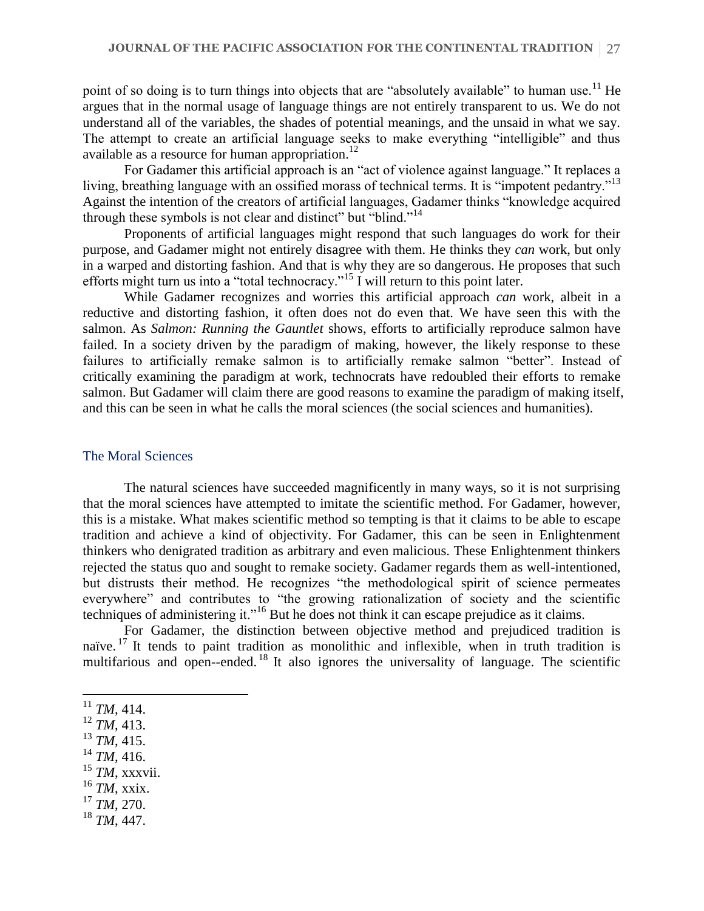point of so doing is to turn things into objects that are "absolutely available" to human use.<sup>11</sup> He argues that in the normal usage of language things are not entirely transparent to us. We do not understand all of the variables, the shades of potential meanings, and the unsaid in what we say. The attempt to create an artificial language seeks to make everything "intelligible" and thus available as a resource for human appropriation.<sup>12</sup>

For Gadamer this artificial approach is an "act of violence against language." It replaces a living, breathing language with an ossified morass of technical terms. It is "impotent pedantry."<sup>13</sup> Against the intention of the creators of artificial languages, Gadamer thinks "knowledge acquired through these symbols is not clear and distinct" but "blind."<sup>14</sup>

Proponents of artificial languages might respond that such languages do work for their purpose, and Gadamer might not entirely disagree with them. He thinks they *can* work, but only in a warped and distorting fashion. And that is why they are so dangerous. He proposes that such efforts might turn us into a "total technocracy."<sup>15</sup> I will return to this point later.

While Gadamer recognizes and worries this artificial approach *can* work, albeit in a reductive and distorting fashion, it often does not do even that. We have seen this with the salmon. As *Salmon: Running the Gauntlet* shows, efforts to artificially reproduce salmon have failed. In a society driven by the paradigm of making, however, the likely response to these failures to artificially remake salmon is to artificially remake salmon "better". Instead of critically examining the paradigm at work, technocrats have redoubled their efforts to remake salmon. But Gadamer will claim there are good reasons to examine the paradigm of making itself, and this can be seen in what he calls the moral sciences (the social sciences and humanities).

# The Moral Sciences

The natural sciences have succeeded magnificently in many ways, so it is not surprising that the moral sciences have attempted to imitate the scientific method. For Gadamer, however, this is a mistake. What makes scientific method so tempting is that it claims to be able to escape tradition and achieve a kind of objectivity. For Gadamer, this can be seen in Enlightenment thinkers who denigrated tradition as arbitrary and even malicious. These Enlightenment thinkers rejected the status quo and sought to remake society. Gadamer regards them as well-intentioned, but distrusts their method. He recognizes "the methodological spirit of science permeates everywhere" and contributes to "the growing rationalization of society and the scientific techniques of administering it."<sup>16</sup> But he does not think it can escape prejudice as it claims.

For Gadamer, the distinction between objective method and prejudiced tradition is naïve. <sup>17</sup> It tends to paint tradition as monolithic and inflexible, when in truth tradition is multifarious and open--ended.<sup>18</sup> It also ignores the universality of language. The scientific

- <sup>13</sup> *TM*, 415.
- $14$  *TM*, 416.
- <sup>15</sup> *TM*, xxxvii.
- <sup>16</sup> *TM*, xxix.
- <sup>17</sup> *TM*, 270.
- <sup>18</sup> *TM*, 447.

 $11$  *TM*, 414.

<sup>12</sup> *TM*, 413.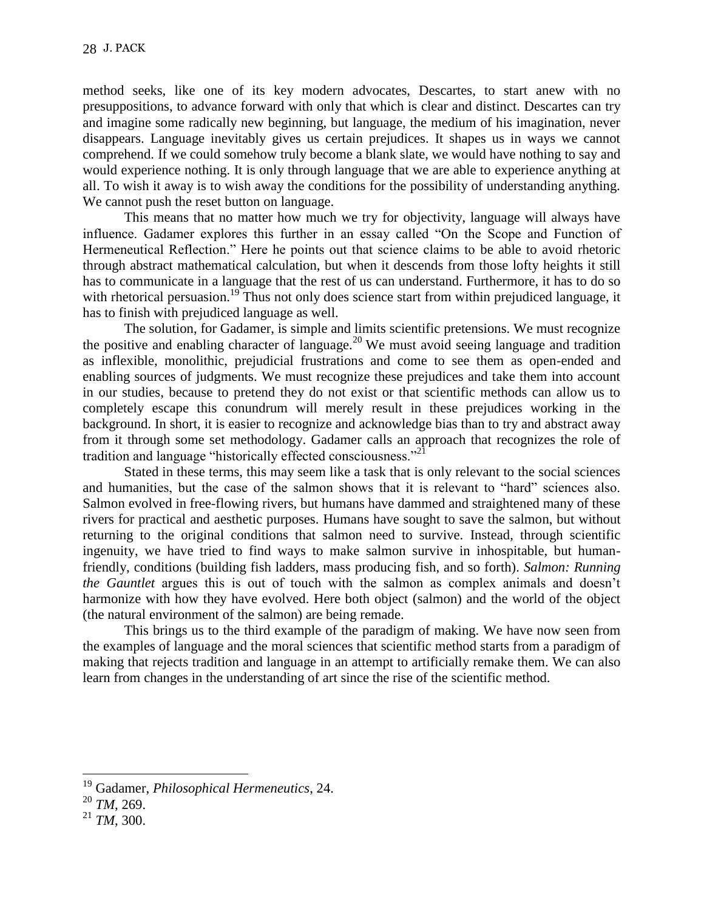method seeks, like one of its key modern advocates, Descartes, to start anew with no presuppositions, to advance forward with only that which is clear and distinct. Descartes can try and imagine some radically new beginning, but language, the medium of his imagination, never disappears. Language inevitably gives us certain prejudices. It shapes us in ways we cannot comprehend. If we could somehow truly become a blank slate, we would have nothing to say and would experience nothing. It is only through language that we are able to experience anything at all. To wish it away is to wish away the conditions for the possibility of understanding anything. We cannot push the reset button on language.

This means that no matter how much we try for objectivity, language will always have influence. Gadamer explores this further in an essay called "On the Scope and Function of Hermeneutical Reflection." Here he points out that science claims to be able to avoid rhetoric through abstract mathematical calculation, but when it descends from those lofty heights it still has to communicate in a language that the rest of us can understand. Furthermore, it has to do so with rhetorical persuasion.<sup>19</sup> Thus not only does science start from within prejudiced language, it has to finish with prejudiced language as well.

The solution, for Gadamer, is simple and limits scientific pretensions. We must recognize the positive and enabling character of language.<sup>20</sup> We must avoid seeing language and tradition as inflexible, monolithic, prejudicial frustrations and come to see them as open-ended and enabling sources of judgments. We must recognize these prejudices and take them into account in our studies, because to pretend they do not exist or that scientific methods can allow us to completely escape this conundrum will merely result in these prejudices working in the background. In short, it is easier to recognize and acknowledge bias than to try and abstract away from it through some set methodology. Gadamer calls an approach that recognizes the role of tradition and language "historically effected consciousness."<sup>21</sup>

Stated in these terms, this may seem like a task that is only relevant to the social sciences and humanities, but the case of the salmon shows that it is relevant to "hard" sciences also. Salmon evolved in free-flowing rivers, but humans have dammed and straightened many of these rivers for practical and aesthetic purposes. Humans have sought to save the salmon, but without returning to the original conditions that salmon need to survive. Instead, through scientific ingenuity, we have tried to find ways to make salmon survive in inhospitable, but humanfriendly, conditions (building fish ladders, mass producing fish, and so forth). *Salmon: Running the Gauntlet* argues this is out of touch with the salmon as complex animals and doesn't harmonize with how they have evolved. Here both object (salmon) and the world of the object (the natural environment of the salmon) are being remade.

This brings us to the third example of the paradigm of making. We have now seen from the examples of language and the moral sciences that scientific method starts from a paradigm of making that rejects tradition and language in an attempt to artificially remake them. We can also learn from changes in the understanding of art since the rise of the scientific method.

<sup>19</sup> Gadamer, *Philosophical Hermeneutics*, 24.

<sup>20</sup> *TM*, 269.

<sup>21</sup> *TM*, 300.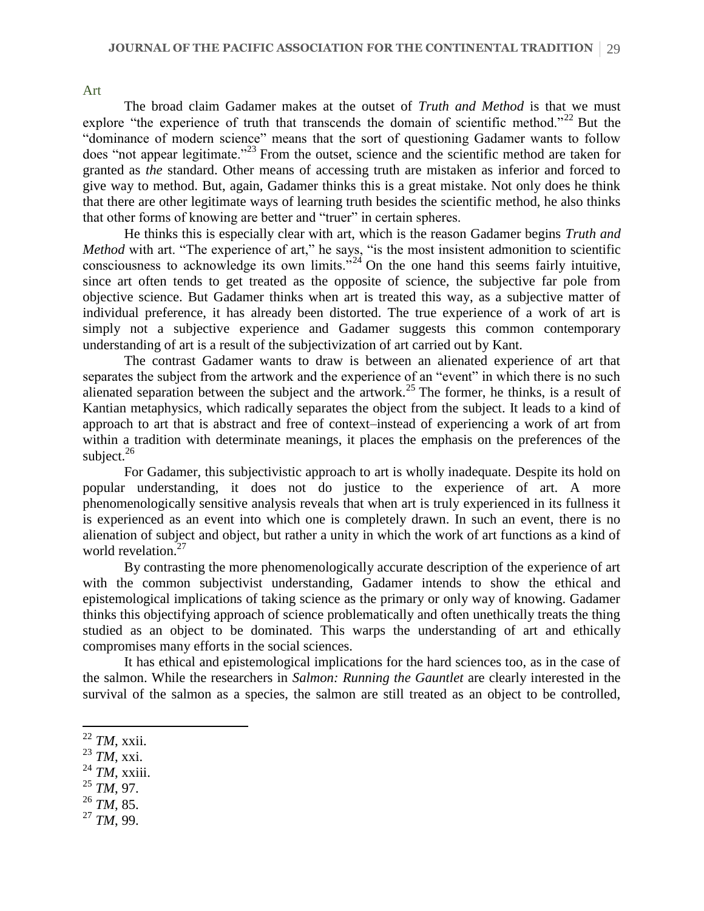The broad claim Gadamer makes at the outset of *Truth and Method* is that we must explore "the experience of truth that transcends the domain of scientific method."<sup>22</sup> But the "dominance of modern science" means that the sort of questioning Gadamer wants to follow does "not appear legitimate."<sup>23</sup> From the outset, science and the scientific method are taken for granted as *the* standard. Other means of accessing truth are mistaken as inferior and forced to give way to method. But, again, Gadamer thinks this is a great mistake. Not only does he think that there are other legitimate ways of learning truth besides the scientific method, he also thinks that other forms of knowing are better and "truer" in certain spheres.

He thinks this is especially clear with art, which is the reason Gadamer begins *Truth and Method* with art. "The experience of art," he says, "is the most insistent admonition to scientific consciousness to acknowledge its own limits."<sup>24</sup> On the one hand this seems fairly intuitive, since art often tends to get treated as the opposite of science, the subjective far pole from objective science. But Gadamer thinks when art is treated this way, as a subjective matter of individual preference, it has already been distorted. The true experience of a work of art is simply not a subjective experience and Gadamer suggests this common contemporary understanding of art is a result of the subjectivization of art carried out by Kant.

The contrast Gadamer wants to draw is between an alienated experience of art that separates the subject from the artwork and the experience of an "event" in which there is no such alienated separation between the subject and the artwork.<sup>25</sup> The former, he thinks, is a result of Kantian metaphysics, which radically separates the object from the subject. It leads to a kind of approach to art that is abstract and free of context–instead of experiencing a work of art from within a tradition with determinate meanings, it places the emphasis on the preferences of the subject.<sup>26</sup>

For Gadamer, this subjectivistic approach to art is wholly inadequate. Despite its hold on popular understanding, it does not do justice to the experience of art. A more phenomenologically sensitive analysis reveals that when art is truly experienced in its fullness it is experienced as an event into which one is completely drawn. In such an event, there is no alienation of subject and object, but rather a unity in which the work of art functions as a kind of world revelation.<sup>27</sup>

By contrasting the more phenomenologically accurate description of the experience of art with the common subjectivist understanding. Gadamer intends to show the ethical and epistemological implications of taking science as the primary or only way of knowing. Gadamer thinks this objectifying approach of science problematically and often unethically treats the thing studied as an object to be dominated. This warps the understanding of art and ethically compromises many efforts in the social sciences.

It has ethical and epistemological implications for the hard sciences too, as in the case of the salmon. While the researchers in *Salmon: Running the Gauntlet* are clearly interested in the survival of the salmon as a species, the salmon are still treated as an object to be controlled,

Art

- <sup>23</sup> *TM*, xxi.
- <sup>24</sup> *TM*, xxiii.
- <sup>25</sup> *TM*, 97.
- <sup>26</sup> *TM*, 85.
- <sup>27</sup> *TM*, 99.

 $\overline{a}$ <sup>22</sup> *TM*, xxii.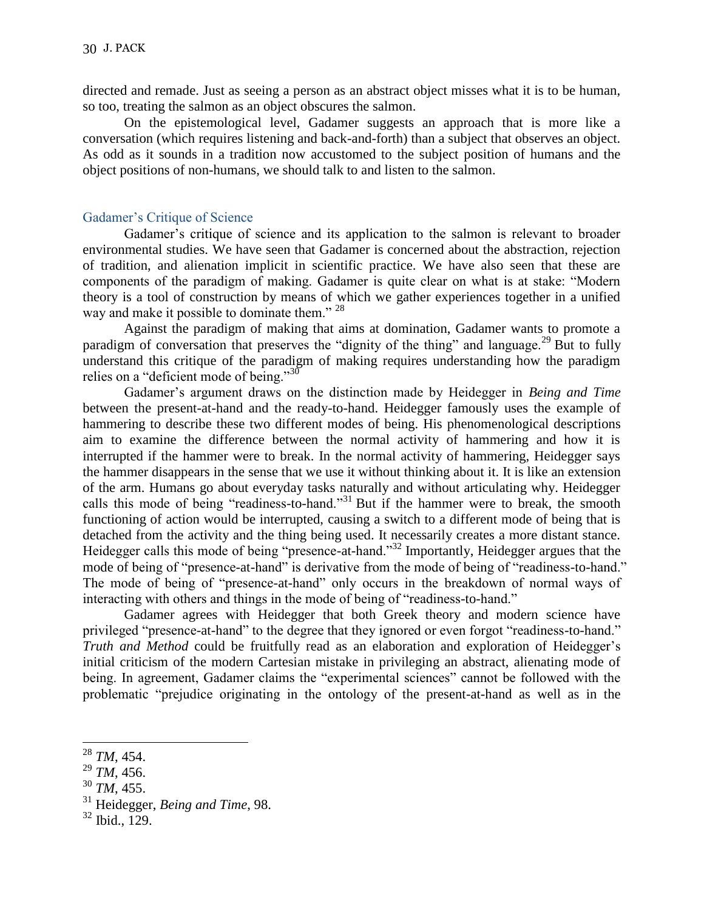directed and remade. Just as seeing a person as an abstract object misses what it is to be human, so too, treating the salmon as an object obscures the salmon.

On the epistemological level, Gadamer suggests an approach that is more like a conversation (which requires listening and back-and-forth) than a subject that observes an object. As odd as it sounds in a tradition now accustomed to the subject position of humans and the object positions of non-humans, we should talk to and listen to the salmon.

### Gadamer's Critique of Science

Gadamer's critique of science and its application to the salmon is relevant to broader environmental studies. We have seen that Gadamer is concerned about the abstraction, rejection of tradition, and alienation implicit in scientific practice. We have also seen that these are components of the paradigm of making. Gadamer is quite clear on what is at stake: "Modern theory is a tool of construction by means of which we gather experiences together in a unified way and make it possible to dominate them."<sup>28</sup>

Against the paradigm of making that aims at domination, Gadamer wants to promote a paradigm of conversation that preserves the "dignity of the thing" and language.<sup>29</sup> But to fully understand this critique of the paradigm of making requires understanding how the paradigm relies on a "deficient mode of being."<sup>30</sup>

Gadamer's argument draws on the distinction made by Heidegger in *Being and Time* between the present-at-hand and the ready-to-hand. Heidegger famously uses the example of hammering to describe these two different modes of being. His phenomenological descriptions aim to examine the difference between the normal activity of hammering and how it is interrupted if the hammer were to break. In the normal activity of hammering, Heidegger says the hammer disappears in the sense that we use it without thinking about it. It is like an extension of the arm. Humans go about everyday tasks naturally and without articulating why. Heidegger calls this mode of being "readiness-to-hand."<sup>31</sup> But if the hammer were to break, the smooth functioning of action would be interrupted, causing a switch to a different mode of being that is detached from the activity and the thing being used. It necessarily creates a more distant stance. Heidegger calls this mode of being "presence-at-hand."<sup>32</sup> Importantly, Heidegger argues that the mode of being of "presence-at-hand" is derivative from the mode of being of "readiness-to-hand." The mode of being of "presence-at-hand" only occurs in the breakdown of normal ways of interacting with others and things in the mode of being of "readiness-to-hand."

Gadamer agrees with Heidegger that both Greek theory and modern science have privileged "presence-at-hand" to the degree that they ignored or even forgot "readiness-to-hand." *Truth and Method* could be fruitfully read as an elaboration and exploration of Heidegger's initial criticism of the modern Cartesian mistake in privileging an abstract, alienating mode of being. In agreement, Gadamer claims the "experimental sciences" cannot be followed with the problematic "prejudice originating in the ontology of the present-at-hand as well as in the

 $\overline{a}$ 

<sup>29</sup> *TM*, 456.

<sup>28</sup> *TM*, 454.

<sup>30</sup> *TM*, 455.

<sup>31</sup> Heidegger, *Being and Time*, 98.

 $32$  Ibid., 129.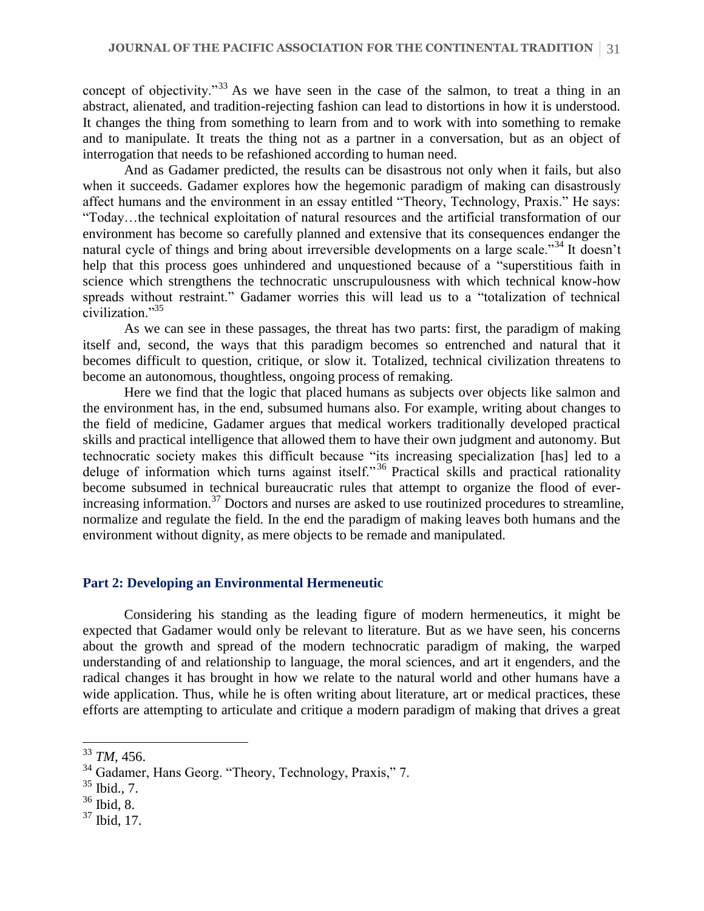concept of objectivity."<sup>33</sup> As we have seen in the case of the salmon, to treat a thing in an abstract, alienated, and tradition-rejecting fashion can lead to distortions in how it is understood. It changes the thing from something to learn from and to work with into something to remake and to manipulate. It treats the thing not as a partner in a conversation, but as an object of interrogation that needs to be refashioned according to human need.

And as Gadamer predicted, the results can be disastrous not only when it fails, but also when it succeeds. Gadamer explores how the hegemonic paradigm of making can disastrously affect humans and the environment in an essay entitled "Theory, Technology, Praxis." He says: "Today…the technical exploitation of natural resources and the artificial transformation of our environment has become so carefully planned and extensive that its consequences endanger the natural cycle of things and bring about irreversible developments on a large scale."<sup>34</sup> It doesn't help that this process goes unhindered and unquestioned because of a "superstitious faith in science which strengthens the technocratic unscrupulousness with which technical know-how spreads without restraint." Gadamer worries this will lead us to a "totalization of technical civilization."<sup>35</sup>

As we can see in these passages, the threat has two parts: first, the paradigm of making itself and, second, the ways that this paradigm becomes so entrenched and natural that it becomes difficult to question, critique, or slow it. Totalized, technical civilization threatens to become an autonomous, thoughtless, ongoing process of remaking.

Here we find that the logic that placed humans as subjects over objects like salmon and the environment has, in the end, subsumed humans also. For example, writing about changes to the field of medicine, Gadamer argues that medical workers traditionally developed practical skills and practical intelligence that allowed them to have their own judgment and autonomy. But technocratic society makes this difficult because "its increasing specialization [has] led to a deluge of information which turns against itself."<sup>36</sup> Practical skills and practical rationality become subsumed in technical bureaucratic rules that attempt to organize the flood of everincreasing information.<sup>37</sup> Doctors and nurses are asked to use routinized procedures to streamline, normalize and regulate the field. In the end the paradigm of making leaves both humans and the environment without dignity, as mere objects to be remade and manipulated.

#### **Part 2: Developing an Environmental Hermeneutic**

Considering his standing as the leading figure of modern hermeneutics, it might be expected that Gadamer would only be relevant to literature. But as we have seen, his concerns about the growth and spread of the modern technocratic paradigm of making, the warped understanding of and relationship to language, the moral sciences, and art it engenders, and the radical changes it has brought in how we relate to the natural world and other humans have a wide application. Thus, while he is often writing about literature, art or medical practices, these efforts are attempting to articulate and critique a modern paradigm of making that drives a great

- $35$  Ibid., 7.
- <sup>36</sup> Ibid, 8.
- $37$  Ibid, 17.

<sup>33</sup> *TM*, 456.

<sup>&</sup>lt;sup>34</sup> Gadamer, Hans Georg. "Theory, Technology, Praxis," 7.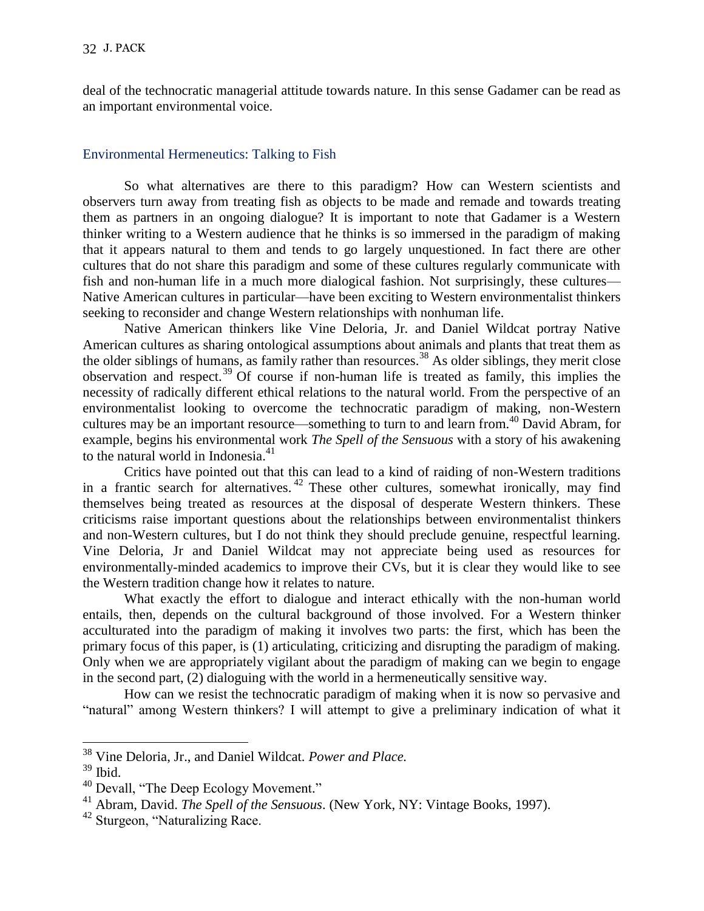deal of the technocratic managerial attitude towards nature. In this sense Gadamer can be read as an important environmental voice.

# Environmental Hermeneutics: Talking to Fish

So what alternatives are there to this paradigm? How can Western scientists and observers turn away from treating fish as objects to be made and remade and towards treating them as partners in an ongoing dialogue? It is important to note that Gadamer is a Western thinker writing to a Western audience that he thinks is so immersed in the paradigm of making that it appears natural to them and tends to go largely unquestioned. In fact there are other cultures that do not share this paradigm and some of these cultures regularly communicate with fish and non-human life in a much more dialogical fashion. Not surprisingly, these cultures— Native American cultures in particular—have been exciting to Western environmentalist thinkers seeking to reconsider and change Western relationships with nonhuman life.

Native American thinkers like Vine Deloria, Jr. and Daniel Wildcat portray Native American cultures as sharing ontological assumptions about animals and plants that treat them as the older siblings of humans, as family rather than resources.<sup>38</sup> As older siblings, they merit close observation and respect.<sup>39</sup> Of course if non-human life is treated as family, this implies the necessity of radically different ethical relations to the natural world. From the perspective of an environmentalist looking to overcome the technocratic paradigm of making, non-Western cultures may be an important resource—something to turn to and learn from. <sup>40</sup> David Abram, for example, begins his environmental work *The Spell of the Sensuous* with a story of his awakening to the natural world in Indonesia.<sup>41</sup>

Critics have pointed out that this can lead to a kind of raiding of non-Western traditions in a frantic search for alternatives. <sup>42</sup> These other cultures, somewhat ironically, may find themselves being treated as resources at the disposal of desperate Western thinkers. These criticisms raise important questions about the relationships between environmentalist thinkers and non-Western cultures, but I do not think they should preclude genuine, respectful learning. Vine Deloria, Jr and Daniel Wildcat may not appreciate being used as resources for environmentally-minded academics to improve their CVs, but it is clear they would like to see the Western tradition change how it relates to nature.

What exactly the effort to dialogue and interact ethically with the non-human world entails, then, depends on the cultural background of those involved. For a Western thinker acculturated into the paradigm of making it involves two parts: the first, which has been the primary focus of this paper, is (1) articulating, criticizing and disrupting the paradigm of making. Only when we are appropriately vigilant about the paradigm of making can we begin to engage in the second part, (2) dialoguing with the world in a hermeneutically sensitive way.

How can we resist the technocratic paradigm of making when it is now so pervasive and "natural" among Western thinkers? I will attempt to give a preliminary indication of what it

<sup>38</sup> Vine Deloria, Jr., and Daniel Wildcat. *Power and Place.*

 $39$  Ibid.

 $40$  Devall, "The Deep Ecology Movement."

<sup>41</sup> Abram, David. *The Spell of the Sensuous*. (New York, NY: Vintage Books, 1997).

<sup>&</sup>lt;sup>42</sup> Sturgeon, "Naturalizing Race.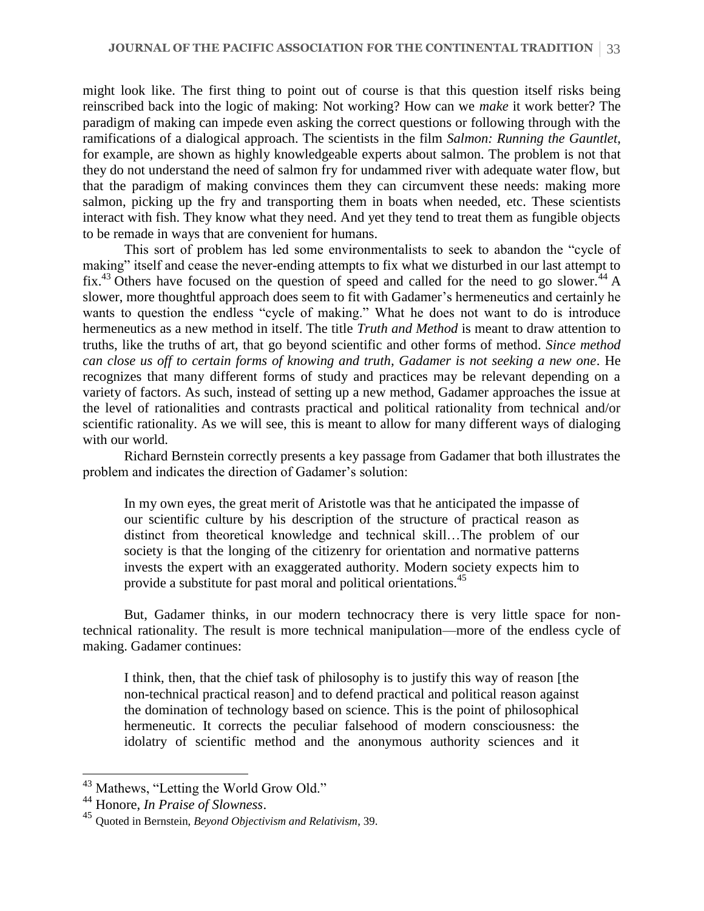might look like. The first thing to point out of course is that this question itself risks being reinscribed back into the logic of making: Not working? How can we *make* it work better? The paradigm of making can impede even asking the correct questions or following through with the ramifications of a dialogical approach. The scientists in the film *Salmon: Running the Gauntlet*, for example, are shown as highly knowledgeable experts about salmon. The problem is not that they do not understand the need of salmon fry for undammed river with adequate water flow, but that the paradigm of making convinces them they can circumvent these needs: making more salmon, picking up the fry and transporting them in boats when needed, etc. These scientists interact with fish. They know what they need. And yet they tend to treat them as fungible objects to be remade in ways that are convenient for humans.

This sort of problem has led some environmentalists to seek to abandon the "cycle of making" itself and cease the never-ending attempts to fix what we disturbed in our last attempt to fix.<sup>43</sup> Others have focused on the question of speed and called for the need to go slower.<sup> $44$ </sup> A slower, more thoughtful approach does seem to fit with Gadamer's hermeneutics and certainly he wants to question the endless "cycle of making." What he does not want to do is introduce hermeneutics as a new method in itself. The title *Truth and Method* is meant to draw attention to truths, like the truths of art, that go beyond scientific and other forms of method. *Since method can close us off to certain forms of knowing and truth, Gadamer is not seeking a new one*. He recognizes that many different forms of study and practices may be relevant depending on a variety of factors. As such, instead of setting up a new method, Gadamer approaches the issue at the level of rationalities and contrasts practical and political rationality from technical and/or scientific rationality. As we will see, this is meant to allow for many different ways of dialoging with our world.

Richard Bernstein correctly presents a key passage from Gadamer that both illustrates the problem and indicates the direction of Gadamer's solution:

In my own eyes, the great merit of Aristotle was that he anticipated the impasse of our scientific culture by his description of the structure of practical reason as distinct from theoretical knowledge and technical skill…The problem of our society is that the longing of the citizenry for orientation and normative patterns invests the expert with an exaggerated authority. Modern society expects him to provide a substitute for past moral and political orientations.<sup>45</sup>

But, Gadamer thinks, in our modern technocracy there is very little space for nontechnical rationality. The result is more technical manipulation—more of the endless cycle of making. Gadamer continues:

I think, then, that the chief task of philosophy is to justify this way of reason [the non-technical practical reason] and to defend practical and political reason against the domination of technology based on science. This is the point of philosophical hermeneutic. It corrects the peculiar falsehood of modern consciousness: the idolatry of scientific method and the anonymous authority sciences and it

 $43$  Mathews, "Letting the World Grow Old."

<sup>44</sup> Honore, *In Praise of Slowness*.

<sup>45</sup> Quoted in Bernstein, *Beyond Objectivism and Relativism*, 39.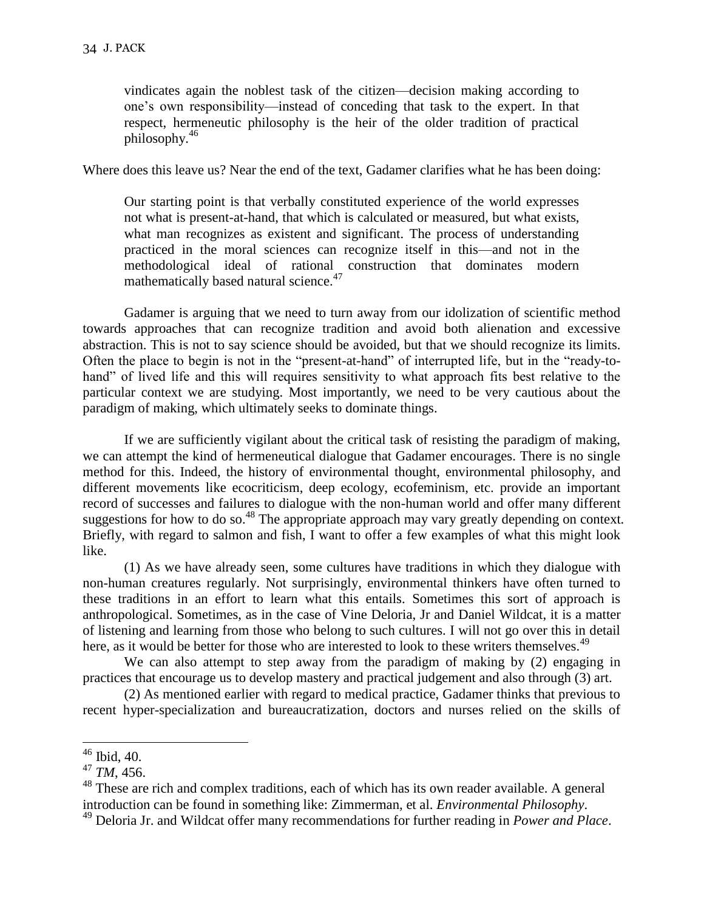vindicates again the noblest task of the citizen—decision making according to one's own responsibility—instead of conceding that task to the expert. In that respect, hermeneutic philosophy is the heir of the older tradition of practical philosophy.<sup>46</sup>

Where does this leave us? Near the end of the text, Gadamer clarifies what he has been doing:

Our starting point is that verbally constituted experience of the world expresses not what is present-at-hand, that which is calculated or measured, but what exists, what man recognizes as existent and significant. The process of understanding practiced in the moral sciences can recognize itself in this—and not in the methodological ideal of rational construction that dominates modern mathematically based natural science.<sup>47</sup>

Gadamer is arguing that we need to turn away from our idolization of scientific method towards approaches that can recognize tradition and avoid both alienation and excessive abstraction. This is not to say science should be avoided, but that we should recognize its limits. Often the place to begin is not in the "present-at-hand" of interrupted life, but in the "ready-tohand" of lived life and this will requires sensitivity to what approach fits best relative to the particular context we are studying. Most importantly, we need to be very cautious about the paradigm of making, which ultimately seeks to dominate things.

If we are sufficiently vigilant about the critical task of resisting the paradigm of making, we can attempt the kind of hermeneutical dialogue that Gadamer encourages. There is no single method for this. Indeed, the history of environmental thought, environmental philosophy, and different movements like ecocriticism, deep ecology, ecofeminism, etc. provide an important record of successes and failures to dialogue with the non-human world and offer many different suggestions for how to do so.<sup>48</sup> The appropriate approach may vary greatly depending on context. Briefly, with regard to salmon and fish, I want to offer a few examples of what this might look like.

(1) As we have already seen, some cultures have traditions in which they dialogue with non-human creatures regularly. Not surprisingly, environmental thinkers have often turned to these traditions in an effort to learn what this entails. Sometimes this sort of approach is anthropological. Sometimes, as in the case of Vine Deloria, Jr and Daniel Wildcat, it is a matter of listening and learning from those who belong to such cultures. I will not go over this in detail here, as it would be better for those who are interested to look to these writers themselves.<sup>49</sup>

We can also attempt to step away from the paradigm of making by (2) engaging in practices that encourage us to develop mastery and practical judgement and also through (3) art.

(2) As mentioned earlier with regard to medical practice, Gadamer thinks that previous to recent hyper-specialization and bureaucratization, doctors and nurses relied on the skills of

 $46$  Ibid, 40.

<sup>47</sup> *TM*, 456.

<sup>&</sup>lt;sup>48</sup> These are rich and complex traditions, each of which has its own reader available. A general introduction can be found in something like: Zimmerman, et al. *Environmental Philosophy*.

<sup>49</sup> Deloria Jr. and Wildcat offer many recommendations for further reading in *Power and Place*.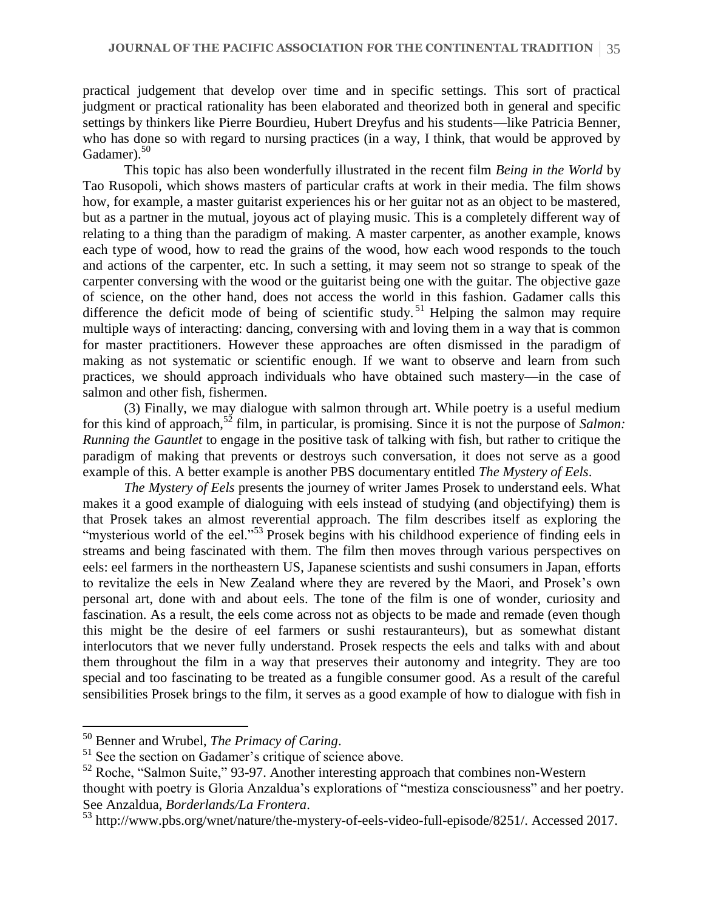practical judgement that develop over time and in specific settings. This sort of practical judgment or practical rationality has been elaborated and theorized both in general and specific settings by thinkers like Pierre Bourdieu, Hubert Dreyfus and his students—like Patricia Benner, who has done so with regard to nursing practices (in a way, I think, that would be approved by Gadamer). $50$ 

This topic has also been wonderfully illustrated in the recent film *Being in the World* by Tao Rusopoli, which shows masters of particular crafts at work in their media. The film shows how, for example, a master guitarist experiences his or her guitar not as an object to be mastered, but as a partner in the mutual, joyous act of playing music. This is a completely different way of relating to a thing than the paradigm of making. A master carpenter, as another example, knows each type of wood, how to read the grains of the wood, how each wood responds to the touch and actions of the carpenter, etc. In such a setting, it may seem not so strange to speak of the carpenter conversing with the wood or the guitarist being one with the guitar. The objective gaze of science, on the other hand, does not access the world in this fashion. Gadamer calls this difference the deficit mode of being of scientific study.<sup>51</sup> Helping the salmon may require multiple ways of interacting: dancing, conversing with and loving them in a way that is common for master practitioners. However these approaches are often dismissed in the paradigm of making as not systematic or scientific enough. If we want to observe and learn from such practices, we should approach individuals who have obtained such mastery—in the case of salmon and other fish, fishermen.

(3) Finally, we may dialogue with salmon through art. While poetry is a useful medium for this kind of approach,<sup>52</sup> film, in particular, is promising. Since it is not the purpose of *Salmon*: *Running the Gauntlet* to engage in the positive task of talking with fish, but rather to critique the paradigm of making that prevents or destroys such conversation, it does not serve as a good example of this. A better example is another PBS documentary entitled *The Mystery of Eels*.

*The Mystery of Eels* presents the journey of writer James Prosek to understand eels. What makes it a good example of dialoguing with eels instead of studying (and objectifying) them is that Prosek takes an almost reverential approach. The film describes itself as exploring the "mysterious world of the eel."<sup>53</sup> Prosek begins with his childhood experience of finding eels in streams and being fascinated with them. The film then moves through various perspectives on eels: eel farmers in the northeastern US, Japanese scientists and sushi consumers in Japan, efforts to revitalize the eels in New Zealand where they are revered by the Maori, and Prosek's own personal art, done with and about eels. The tone of the film is one of wonder, curiosity and fascination. As a result, the eels come across not as objects to be made and remade (even though this might be the desire of eel farmers or sushi restauranteurs), but as somewhat distant interlocutors that we never fully understand. Prosek respects the eels and talks with and about them throughout the film in a way that preserves their autonomy and integrity. They are too special and too fascinating to be treated as a fungible consumer good. As a result of the careful sensibilities Prosek brings to the film, it serves as a good example of how to dialogue with fish in

<sup>50</sup> Benner and Wrubel, *The Primacy of Caring*.

<sup>&</sup>lt;sup>51</sup> See the section on Gadamer's critique of science above.

 $52$  Roche, "Salmon Suite," 93-97. Another interesting approach that combines non-Western

thought with poetry is Gloria Anzaldua's explorations of "mestiza consciousness" and her poetry. See Anzaldua, *Borderlands/La Frontera*.

<sup>53</sup> http://www.pbs.org/wnet/nature/the-mystery-of-eels-video-full-episode/8251/. Accessed 2017.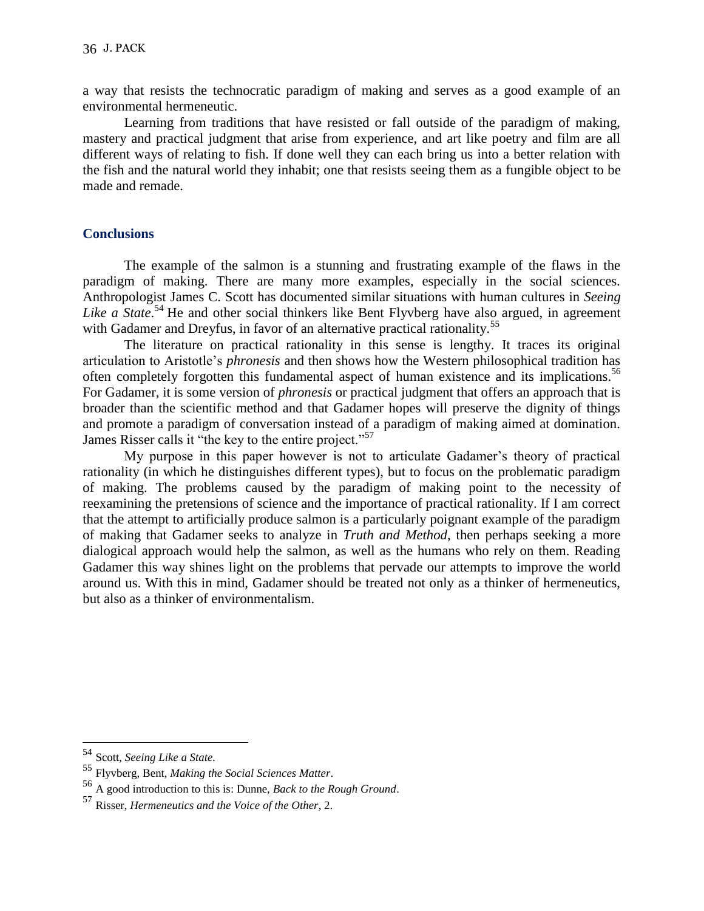a way that resists the technocratic paradigm of making and serves as a good example of an environmental hermeneutic.

Learning from traditions that have resisted or fall outside of the paradigm of making, mastery and practical judgment that arise from experience, and art like poetry and film are all different ways of relating to fish. If done well they can each bring us into a better relation with the fish and the natural world they inhabit; one that resists seeing them as a fungible object to be made and remade.

## **Conclusions**

The example of the salmon is a stunning and frustrating example of the flaws in the paradigm of making. There are many more examples, especially in the social sciences. Anthropologist James C. Scott has documented similar situations with human cultures in *Seeing*  Like a State.<sup>54</sup> He and other social thinkers like Bent Flyvberg have also argued, in agreement with Gadamer and Dreyfus, in favor of an alternative practical rationality.<sup>55</sup>

The literature on practical rationality in this sense is lengthy. It traces its original articulation to Aristotle's *phronesis* and then shows how the Western philosophical tradition has often completely forgotten this fundamental aspect of human existence and its implications.<sup>56</sup> For Gadamer, it is some version of *phronesis* or practical judgment that offers an approach that is broader than the scientific method and that Gadamer hopes will preserve the dignity of things and promote a paradigm of conversation instead of a paradigm of making aimed at domination. James Risser calls it "the key to the entire project."<sup>57</sup>

My purpose in this paper however is not to articulate Gadamer's theory of practical rationality (in which he distinguishes different types), but to focus on the problematic paradigm of making. The problems caused by the paradigm of making point to the necessity of reexamining the pretensions of science and the importance of practical rationality. If I am correct that the attempt to artificially produce salmon is a particularly poignant example of the paradigm of making that Gadamer seeks to analyze in *Truth and Method*, then perhaps seeking a more dialogical approach would help the salmon, as well as the humans who rely on them. Reading Gadamer this way shines light on the problems that pervade our attempts to improve the world around us. With this in mind, Gadamer should be treated not only as a thinker of hermeneutics, but also as a thinker of environmentalism.

<sup>54</sup> Scott, *Seeing Like a State.*

<sup>55</sup> Flyvberg, Bent, *Making the Social Sciences Matter*.

<sup>56</sup> A good introduction to this is: Dunne, *Back to the Rough Ground*.

<sup>57</sup> Risser, *Hermeneutics and the Voice of the Other*, 2.